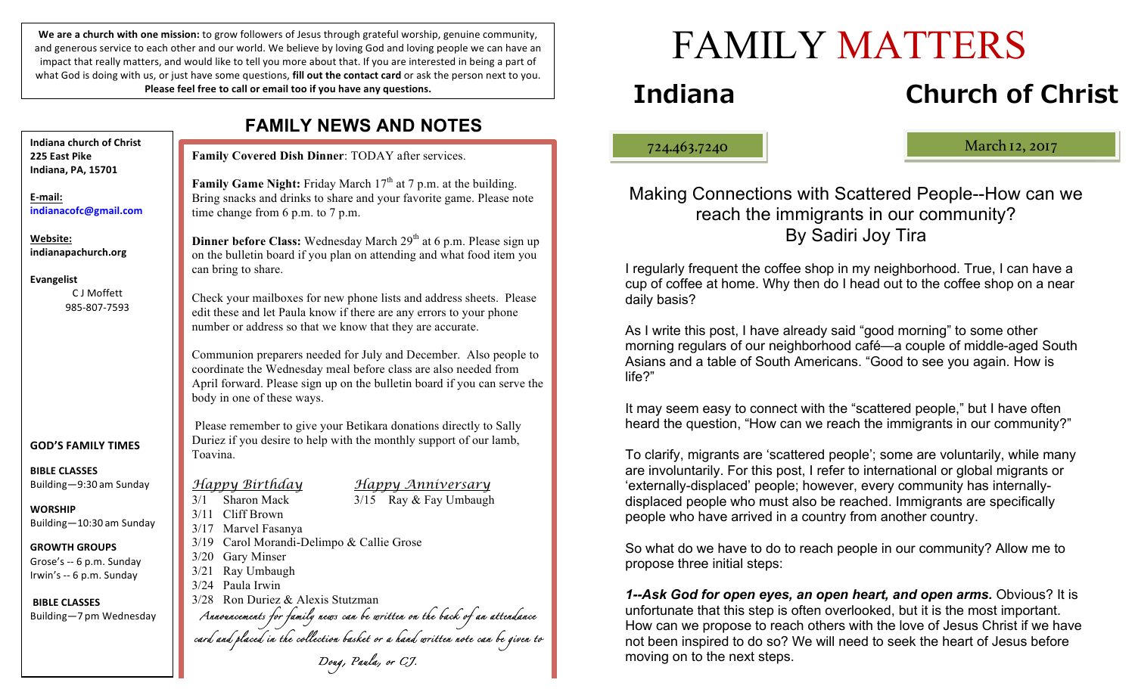We are a church with one mission: to grow followers of Jesus through grateful worship, genuine community, and generous service to each other and our world. We believe by loving God and loving people we can have an impact that really matters, and would like to tell you more about that. If you are interested in being a part of what God is doing with us, or just have some questions, **fill out the contact card** or ask the person next to you. Please feel free to call or email too if you have any questions.

**FAMILY NEWS AND NOTES**

|                                                                              | FAMILY NEWS AND NOTES                                                                                                                                                                                                                             |
|------------------------------------------------------------------------------|---------------------------------------------------------------------------------------------------------------------------------------------------------------------------------------------------------------------------------------------------|
| Indiana church of Christ<br>225 East Pike<br>Indiana, PA, 15701              | Family Covered Dish Dinner: TODAY after services.                                                                                                                                                                                                 |
| E-mail:<br>indianacofc@gmail.com                                             | <b>Family Game Night:</b> Friday March $17th$ at 7 p.m. at the building.<br>Bring snacks and drinks to share and your favorite game. Please note<br>time change from 6 p.m. to 7 p.m.                                                             |
| Website:<br>indianapachurch.org<br><b>Evangelist</b>                         | <b>Dinner before Class:</b> Wednesday March 29 <sup>th</sup> at 6 p.m. Please sign up<br>on the bulletin board if you plan on attending and what food item you<br>can bring to share.                                                             |
| C J Moffett<br>985-807-7593                                                  | Check your mailboxes for new phone lists and address sheets. Please<br>edit these and let Paula know if there are any errors to your phone<br>number or address so that we know that they are accurate.                                           |
|                                                                              | Communion preparers needed for July and December. Also people to<br>coordinate the Wednesday meal before class are also needed from<br>April forward. Please sign up on the bulletin board if you can serve the<br>body in one of these ways.     |
| <b>GOD'S FAMILY TIMES</b>                                                    | Please remember to give your Betikara donations directly to Sally<br>Duriez if you desire to help with the monthly support of our lamb,<br>Toavina.                                                                                               |
| <b>BIBLE CLASSES</b><br>Building-9:30 am Sunday                              | <u>Happy Birthday</u><br>Happy Anniversary<br>3/15 Ray & Fay Umbaugh<br>Sharon Mack<br>3/1<br>3/11 Cliff Brown<br>3/17 Marvel Fasanya<br>3/19 Carol Morandi-Delimpo & Callie Grose<br>3/20 Gary Minser<br>Ray Umbaugh<br>3/21<br>3/24 Paula Irwin |
| <b>WORSHIP</b><br>Building-10:30 am Sunday                                   |                                                                                                                                                                                                                                                   |
| <b>GROWTH GROUPS</b><br>Grose's -- 6 p.m. Sunday<br>Irwin's -- 6 p.m. Sunday |                                                                                                                                                                                                                                                   |
| <b>BIBLE CLASSES</b><br>Building-7 pm Wednesday                              | 3/28 Ron Duriez & Alexis Stutzman<br>Annorncements for family news can be written on the back of an attendance<br>card and placed in the collection basket or a hand written note can be given to                                                 |
|                                                                              | Doug, Paula, or CJ.                                                                                                                                                                                                                               |

ļ

# **Indiana Church of Christ**

724.463.7240 March 12, 2017

Making Connections with Scattered People--How can we reach the immigrants in our community? By Sadiri Joy Tira

FAMILY MATTERS

I regularly frequent the coffee shop in my neighborhood. True, I can have a cup of coffee at home. Why then do I head out to the coffee shop on a near daily basis?

As I write this post, I have already said "good morning" to some other morning regulars of our neighborhood café—a couple of middle-aged South Asians and a table of South Americans. "Good to see you again. How is life?"

It may seem easy to connect with the "scattered people," but I have often heard the question, "How can we reach the immigrants in our community?"

To clarify, migrants are 'scattered people'; some are voluntarily, while many are involuntarily. For this post, I refer to international or global migrants or 'externally-displaced' people; however, every community has internallydisplaced people who must also be reached. Immigrants are specifically people who have arrived in a country from another country.

So what do we have to do to reach people in our community? Allow me to propose three initial steps:

*1--Ask God for open eyes, an open heart, and open arms.* Obvious? It is unfortunate that this step is often overlooked, but it is the most important. How can we propose to reach others with the love of Jesus Christ if we have not been inspired to do so? We will need to seek the heart of Jesus before moving on to the next steps.